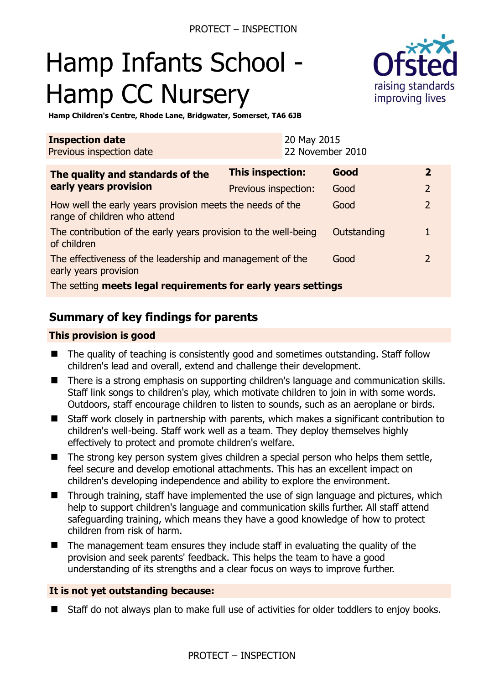# Hamp Infants School - Hamp CC Nursery



**Hamp Children's Centre, Rhode Lane, Bridgwater, Somerset, TA6 6JB** 

| <b>Inspection date</b><br>Previous inspection date                                        |                         | 20 May 2015<br>22 November 2010 |             |               |
|-------------------------------------------------------------------------------------------|-------------------------|---------------------------------|-------------|---------------|
| The quality and standards of the<br>early years provision                                 | <b>This inspection:</b> |                                 | Good        | $\mathbf{2}$  |
|                                                                                           | Previous inspection:    |                                 | Good        | 2             |
| How well the early years provision meets the needs of the<br>range of children who attend |                         |                                 | Good        | $\mathcal{P}$ |
| The contribution of the early years provision to the well-being<br>of children            |                         |                                 | Outstanding |               |
| The effectiveness of the leadership and management of the<br>early years provision        |                         |                                 | Good        |               |
| The setting meets legal requirements for early years settings                             |                         |                                 |             |               |

## **Summary of key findings for parents**

#### **This provision is good**

- The quality of teaching is consistently good and sometimes outstanding. Staff follow children's lead and overall, extend and challenge their development.
- There is a strong emphasis on supporting children's language and communication skills. Staff link songs to children's play, which motivate children to join in with some words. Outdoors, staff encourage children to listen to sounds, such as an aeroplane or birds.
- Staff work closely in partnership with parents, which makes a significant contribution to children's well-being. Staff work well as a team. They deploy themselves highly effectively to protect and promote children's welfare.
- The strong key person system gives children a special person who helps them settle, feel secure and develop emotional attachments. This has an excellent impact on children's developing independence and ability to explore the environment.
- Through training, staff have implemented the use of sign language and pictures, which help to support children's language and communication skills further. All staff attend safeguarding training, which means they have a good knowledge of how to protect children from risk of harm.
- The management team ensures they include staff in evaluating the quality of the provision and seek parents' feedback. This helps the team to have a good understanding of its strengths and a clear focus on ways to improve further.

#### **It is not yet outstanding because:**

■ Staff do not always plan to make full use of activities for older toddlers to enjoy books.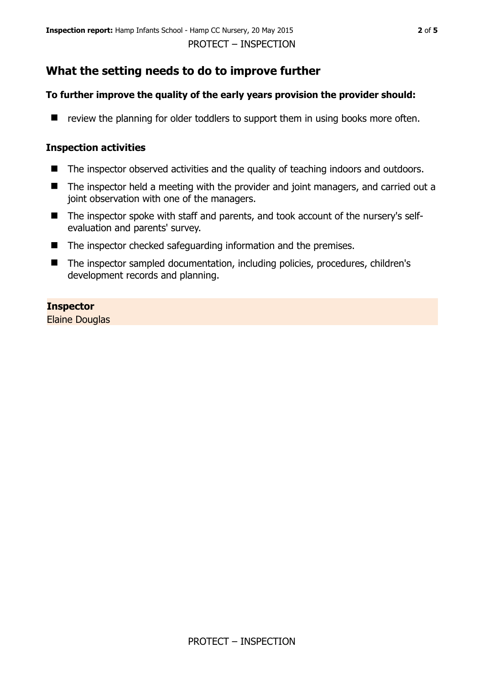# **What the setting needs to do to improve further**

## **To further improve the quality of the early years provision the provider should:**

 $\blacksquare$  review the planning for older toddlers to support them in using books more often.

#### **Inspection activities**

- The inspector observed activities and the quality of teaching indoors and outdoors.
- The inspector held a meeting with the provider and joint managers, and carried out a joint observation with one of the managers.
- The inspector spoke with staff and parents, and took account of the nursery's selfevaluation and parents' survey.
- The inspector checked safeguarding information and the premises.
- The inspector sampled documentation, including policies, procedures, children's development records and planning.

## **Inspector**

Elaine Douglas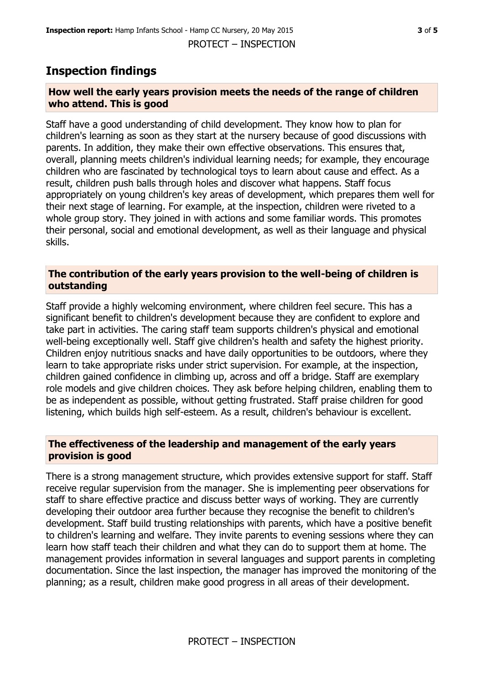## **Inspection findings**

#### **How well the early years provision meets the needs of the range of children who attend. This is good**

Staff have a good understanding of child development. They know how to plan for children's learning as soon as they start at the nursery because of good discussions with parents. In addition, they make their own effective observations. This ensures that, overall, planning meets children's individual learning needs; for example, they encourage children who are fascinated by technological toys to learn about cause and effect. As a result, children push balls through holes and discover what happens. Staff focus appropriately on young children's key areas of development, which prepares them well for their next stage of learning. For example, at the inspection, children were riveted to a whole group story. They joined in with actions and some familiar words. This promotes their personal, social and emotional development, as well as their language and physical skills.

#### **The contribution of the early years provision to the well-being of children is outstanding**

Staff provide a highly welcoming environment, where children feel secure. This has a significant benefit to children's development because they are confident to explore and take part in activities. The caring staff team supports children's physical and emotional well-being exceptionally well. Staff give children's health and safety the highest priority. Children enjoy nutritious snacks and have daily opportunities to be outdoors, where they learn to take appropriate risks under strict supervision. For example, at the inspection, children gained confidence in climbing up, across and off a bridge. Staff are exemplary role models and give children choices. They ask before helping children, enabling them to be as independent as possible, without getting frustrated. Staff praise children for good listening, which builds high self-esteem. As a result, children's behaviour is excellent.

## **The effectiveness of the leadership and management of the early years provision is good**

There is a strong management structure, which provides extensive support for staff. Staff receive regular supervision from the manager. She is implementing peer observations for staff to share effective practice and discuss better ways of working. They are currently developing their outdoor area further because they recognise the benefit to children's development. Staff build trusting relationships with parents, which have a positive benefit to children's learning and welfare. They invite parents to evening sessions where they can learn how staff teach their children and what they can do to support them at home. The management provides information in several languages and support parents in completing documentation. Since the last inspection, the manager has improved the monitoring of the planning; as a result, children make good progress in all areas of their development.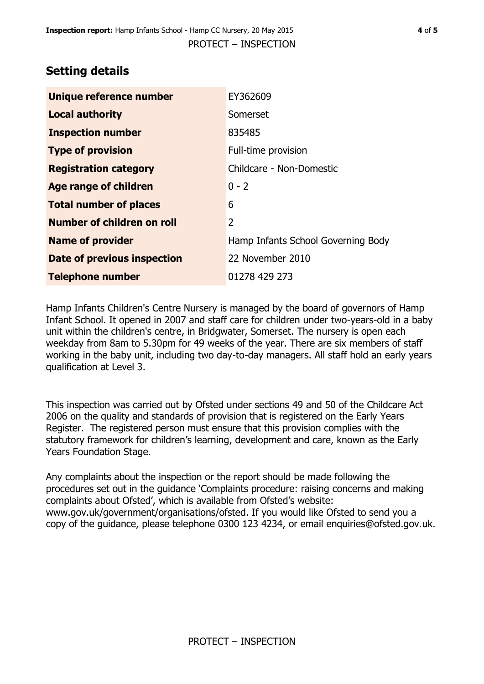# **Setting details**

| Unique reference number       | EY362609                           |  |
|-------------------------------|------------------------------------|--|
| <b>Local authority</b>        | Somerset                           |  |
| <b>Inspection number</b>      | 835485                             |  |
| <b>Type of provision</b>      | Full-time provision                |  |
| <b>Registration category</b>  | Childcare - Non-Domestic           |  |
| Age range of children         | $0 - 2$                            |  |
| <b>Total number of places</b> | 6                                  |  |
| Number of children on roll    | 2                                  |  |
| <b>Name of provider</b>       | Hamp Infants School Governing Body |  |
| Date of previous inspection   | 22 November 2010                   |  |
| <b>Telephone number</b>       | 01278 429 273                      |  |

Hamp Infants Children's Centre Nursery is managed by the board of governors of Hamp Infant School. It opened in 2007 and staff care for children under two-years-old in a baby unit within the children's centre, in Bridgwater, Somerset. The nursery is open each weekday from 8am to 5.30pm for 49 weeks of the year. There are six members of staff working in the baby unit, including two day-to-day managers. All staff hold an early years qualification at Level 3.

This inspection was carried out by Ofsted under sections 49 and 50 of the Childcare Act 2006 on the quality and standards of provision that is registered on the Early Years Register. The registered person must ensure that this provision complies with the statutory framework for children's learning, development and care, known as the Early Years Foundation Stage.

Any complaints about the inspection or the report should be made following the procedures set out in the guidance 'Complaints procedure: raising concerns and making complaints about Ofsted', which is available from Ofsted's website: www.gov.uk/government/organisations/ofsted. If you would like Ofsted to send you a copy of the guidance, please telephone 0300 123 4234, or email enquiries@ofsted.gov.uk.